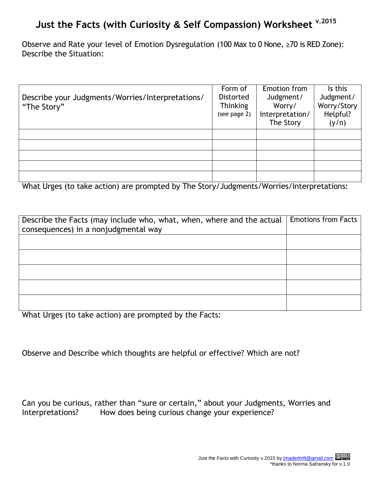## **Just the Facts (with Curiosity & Self Compassion) Worksheet v.2015**

Observe and Rate your level of Emotion Dysregulation (100 Max to 0 None, ≥70 is RED Zone): Describe the Situation:

|                                                  | Form of         | Emotion from    | Is this     |
|--------------------------------------------------|-----------------|-----------------|-------------|
| Describe your Judgments/Worries/Interpretations/ | Distorted       | Judgment/       | Judgment/   |
| "The Story"                                      | <b>Thinking</b> | Worry/          | Worry/Story |
|                                                  | (see page 2)    | Interpretation/ | Helpful?    |
|                                                  |                 | The Story       | (y/n)       |
|                                                  |                 |                 |             |
|                                                  |                 |                 |             |
|                                                  |                 |                 |             |
|                                                  |                 |                 |             |
|                                                  |                 |                 |             |

What Urges (to take action) are prompted by The Story/Judgments/Worries/Interpretations:

| Describe the Facts (may include who, what, when, where and the actual | <b>Emotions from Facts</b> |
|-----------------------------------------------------------------------|----------------------------|
| consequences) in a nonjudgmental way                                  |                            |
|                                                                       |                            |
|                                                                       |                            |
|                                                                       |                            |
|                                                                       |                            |
|                                                                       |                            |
|                                                                       |                            |
|                                                                       |                            |
|                                                                       |                            |
|                                                                       |                            |

What Urges (to take action) are prompted by the Facts:

Observe and Describe which thoughts are helpful or effective? Which are not?

Can you be curious, rather than "sure or certain," about your Judgments, Worries and Interpretations? How does being curious change your experience?